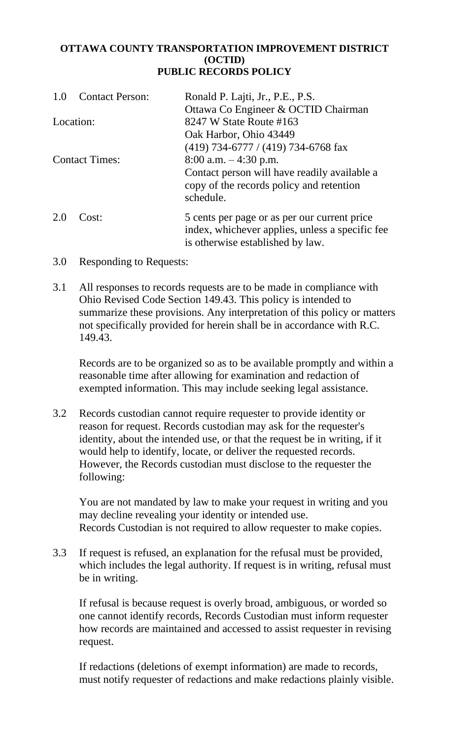## **OTTAWA COUNTY TRANSPORTATION IMPROVEMENT DISTRICT (OCTID) PUBLIC RECORDS POLICY**

| <b>Contact Person:</b><br>1.0 | Ronald P. Lajti, Jr., P.E., P.S.<br>Ottawa Co Engineer & OCTID Chairman                                                             |
|-------------------------------|-------------------------------------------------------------------------------------------------------------------------------------|
| Location:                     | 8247 W State Route #163                                                                                                             |
|                               | Oak Harbor, Ohio 43449<br>$(419)$ 734-6777 / (419) 734-6768 fax                                                                     |
| <b>Contact Times:</b>         | 8:00 a.m. $-4:30$ p.m.<br>Contact person will have readily available a<br>copy of the records policy and retention<br>schedule.     |
| 2.0<br>Cost:                  | 5 cents per page or as per our current price<br>index, whichever applies, unless a specific fee<br>is otherwise established by law. |

- 3.0 Responding to Requests:
- 3.1 All responses to records requests are to be made in compliance with Ohio Revised Code Section 149.43. This policy is intended to summarize these provisions. Any interpretation of this policy or matters not specifically provided for herein shall be in accordance with R.C. 149.43.

Records are to be organized so as to be available promptly and within a reasonable time after allowing for examination and redaction of exempted information. This may include seeking legal assistance.

3.2 Records custodian cannot require requester to provide identity or reason for request. Records custodian may ask for the requester's identity, about the intended use, or that the request be in writing, if it would help to identify, locate, or deliver the requested records. However, the Records custodian must disclose to the requester the following:

You are not mandated by law to make your request in writing and you may decline revealing your identity or intended use. Records Custodian is not required to allow requester to make copies.

3.3 If request is refused, an explanation for the refusal must be provided, which includes the legal authority. If request is in writing, refusal must be in writing.

If refusal is because request is overly broad, ambiguous, or worded so one cannot identify records, Records Custodian must inform requester how records are maintained and accessed to assist requester in revising request.

If redactions (deletions of exempt information) are made to records, must notify requester of redactions and make redactions plainly visible.